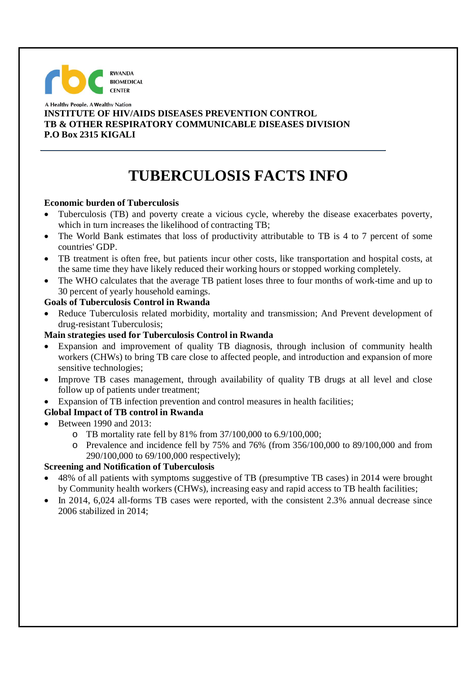## **RWANDA BIOMEDICAL CENTER**

#### A Healthy People. A Wealthy Nation j **INSTITUTE OF HIV/AIDS DISEASES PREVENTION CONTROL TB & OTHER RESPIRATORY COMMUNICABLE DISEASES DIVISION P.O Box 2315 KIGALI**

# **TUBERCULOSIS FACTS INFO**

#### **Economic burden of Tuberculosis**

- Tuberculosis (TB) and poverty create a vicious cycle, whereby the disease exacerbates poverty, which in turn increases the likelihood of contracting TB;
- The World Bank estimates that loss of productivity attributable to TB is 4 to 7 percent of some countries' GDP.
- TB treatment is often free, but patients incur other costs, like transportation and hospital costs, at the same time they have likely reduced their working hours or stopped working completely.
- The WHO calculates that the average TB patient loses three to four months of work-time and up to 30 percent of yearly household earnings.

#### **Goals of Tuberculosis Control in Rwanda**

 Reduce Tuberculosis related morbidity, mortality and transmission; And Prevent development of drug-resistant Tuberculosis;

#### **Main strategies used for Tuberculosis Control in Rwanda**

- Expansion and improvement of quality TB diagnosis, through inclusion of community health workers (CHWs) to bring TB care close to affected people, and introduction and expansion of more sensitive technologies;
- Improve TB cases management, through availability of quality TB drugs at all level and close follow up of patients under treatment;
- Expansion of TB infection prevention and control measures in health facilities;

### **Global Impact of TB control in Rwanda**

- Between 1990 and 2013:
	- o TB mortality rate fell by 81% from 37/100,000 to 6.9/100,000;
	- o Prevalence and incidence fell by 75% and 76% (from 356/100,000 to 89/100,000 and from 290/100,000 to 69/100,000 respectively);

#### **Screening and Notification of Tuberculosis**

- 48% of all patients with symptoms suggestive of TB (presumptive TB cases) in 2014 were brought by Community health workers (CHWs), increasing easy and rapid access to TB health facilities;
- $\bullet$  In 2014, 6,024 all-forms TB cases were reported, with the consistent 2.3% annual decrease since 2006 stabilized in 2014;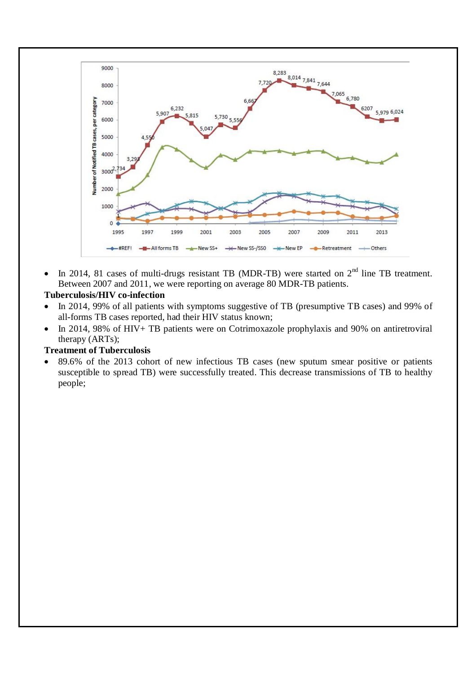

• In 2014, 81 cases of multi-drugs resistant TB (MDR-TB) were started on  $2<sup>nd</sup>$  line TB treatment. Between 2007 and 2011, we were reporting on average 80 MDR-TB patients.

#### **Tuberculosis/HIV co-infection**

- In 2014, 99% of all patients with symptoms suggestive of TB (presumptive TB cases) and 99% of all-forms TB cases reported, had their HIV status known;
- In 2014, 98% of HIV+ TB patients were on Cotrimoxazole prophylaxis and 90% on antiretroviral therapy (ARTs);

#### **Treatment of Tuberculosis**

 89.6% of the 2013 cohort of new infectious TB cases (new sputum smear positive or patients susceptible to spread TB) were successfully treated. This decrease transmissions of TB to healthy people;